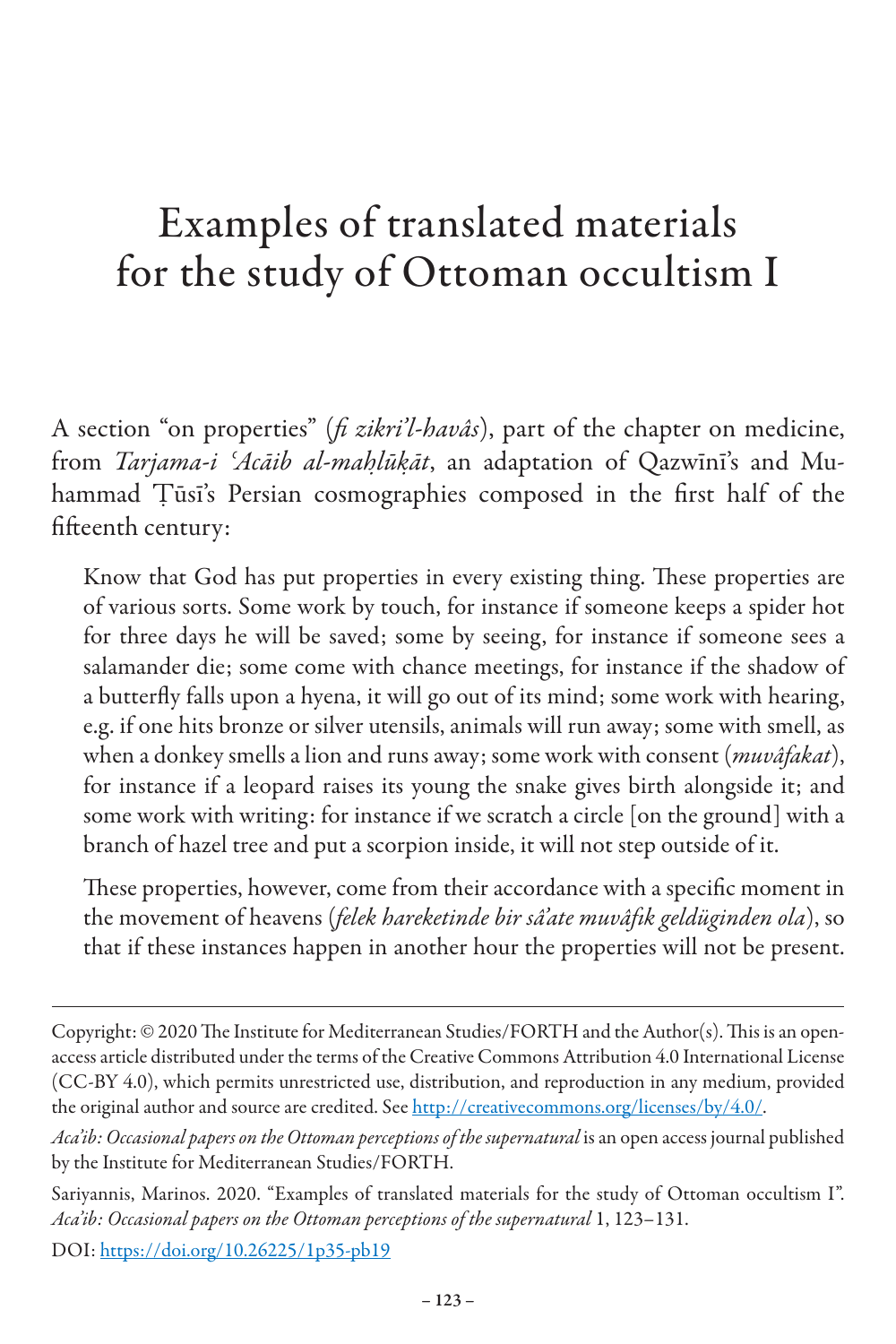## Examples of translated materials for the study of Ottoman occultism I

A section "on properties" (*fi zikri'l-havâs*), part of the chapter on medicine, from *Tarjama-i ʿAcāib al-maḥlūḳāt*, an adaptation of Qazwīnī's and Muhammad Ṭūsī's Persian cosmographies composed in the first half of the fifteenth century:

Know that God has put properties in every existing thing. These properties are of various sorts. Some work by touch, for instance if someone keeps a spider hot for three days he will be saved; some by seeing, for instance if someone sees a salamander die; some come with chance meetings, for instance if the shadow of a butterfly falls upon a hyena, it will go out of its mind; some work with hearing, e.g. if one hits bronze or silver utensils, animals will run away; some with smell, as when a donkey smells a lion and runs away; some work with consent (*muvâfakat*), for instance if a leopard raises its young the snake gives birth alongside it; and some work with writing: for instance if we scratch a circle [on the ground] with a branch of hazel tree and put a scorpion inside, it will not step outside of it.

These properties, however, come from their accordance with a specific moment in the movement of heavens (*felek hareketinde bir sâ'ate muvâfık geldüginden ola*), so that if these instances happen in another hour the properties will not be present.

Copyright: © 2020 The Institute for Mediterranean Studies/FORTH and the Author(s). This is an openaccess article distributed under the terms of the Creative Commons Attribution 4.0 International License (CC-BY 4.0), which permits unrestricted use, distribution, and reproduction in any medium, provided the original author and source are credited. See http://creativecommons.org/licenses/by/4.0/.

*Aca'ib: Occasional papers on the Ottoman perceptions of the supernatural* is an open access journal published by the Institute for Mediterranean Studies/FORTH.

Sariyannis, Marinos. 2020. "Examples of translated materials for the study of Ottoman occultism I". Aca'ib: Occasional papers on the Ottoman perceptions of the supernatural 1, 123–131.

DOI: https://doi.org/10.26225/1p35-pb19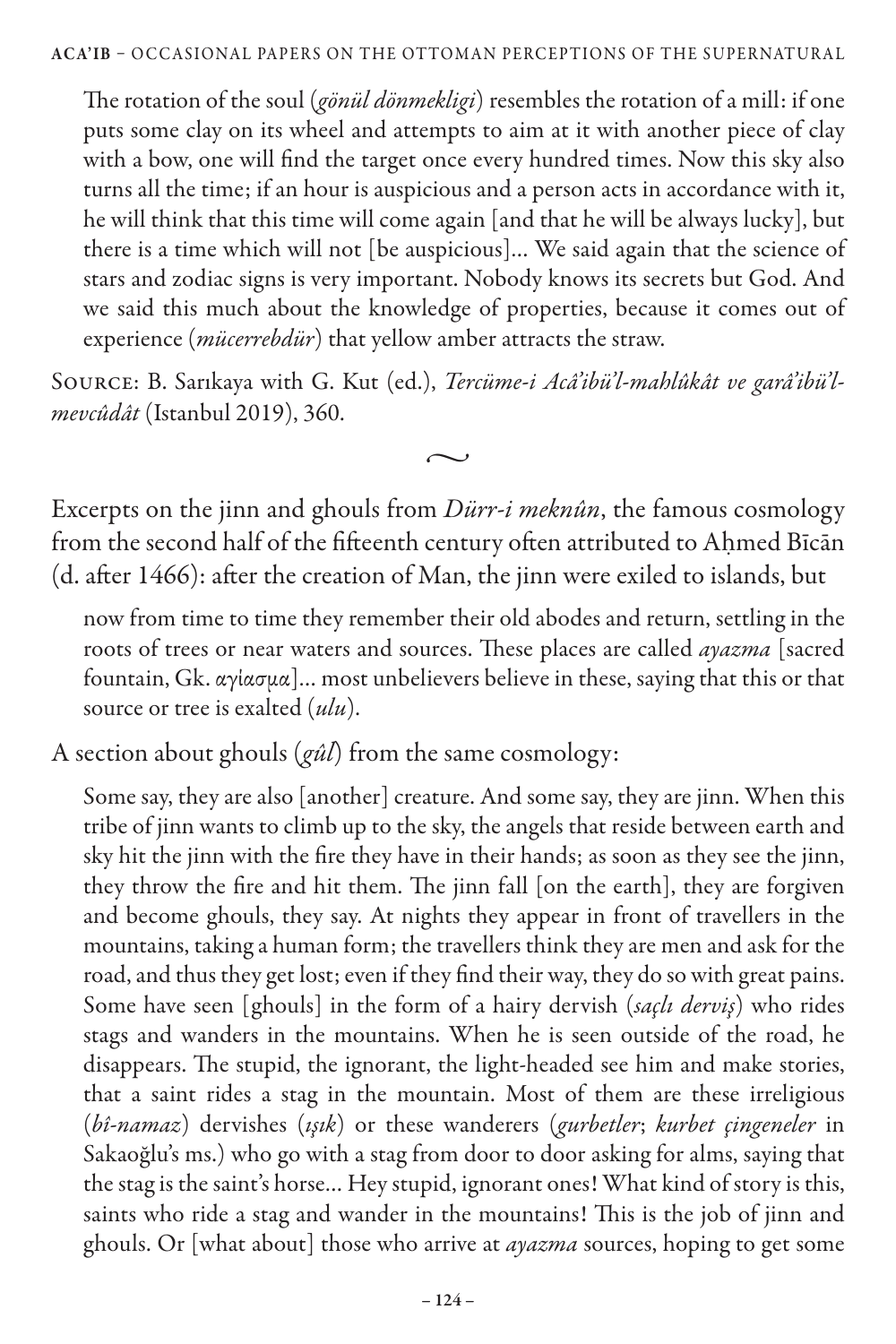The rotation of the soul (*gönül dönmekligi*) resembles the rotation of a mill: if one puts some clay on its wheel and attempts to aim at it with another piece of clay with a bow, one will find the target once every hundred times. Now this sky also turns all the time; if an hour is auspicious and a person acts in accordance with it, he will think that this time will come again [and that he will be always lucky], but there is a time which will not [be auspicious]… We said again that the science of stars and zodiac signs is very important. Nobody knows its secrets but God. And we said this much about the knowledge of properties, because it comes out of experience (*mücerrebdür*) that yellow amber attracts the straw.

Source: B. Sarıkaya with G. Kut (ed.), *Tercüme-i Acâ'ibü'l-mahlûkât ve garâ'ibü'lmevcûdât* (Istanbul 2019), 360.

 $\sim$ 

Excerpts on the jinn and ghouls from *Dürr-i meknûn*, the famous cosmology from the second half of the fifteenth century often attributed to Ahmed Bīcān (d. after 1466): after the creation of Man, the jinn were exiled to islands, but

now from time to time they remember their old abodes and return, settling in the roots of trees or near waters and sources. These places are called *ayazma* [sacred fountain, Gk. αγίασμα]… most unbelievers believe in these, saying that this or that source or tree is exalted (*ulu*).

A section about ghouls (*gûl*) from the same cosmology:

Some say, they are also [another] creature. And some say, they are jinn. When this tribe of jinn wants to climb up to the sky, the angels that reside between earth and sky hit the jinn with the fire they have in their hands; as soon as they see the jinn, they throw the fire and hit them. The jinn fall [on the earth], they are forgiven and become ghouls, they say. At nights they appear in front of travellers in the mountains, taking a human form; the travellers think they are men and ask for the road, and thus they get lost; even if they find their way, they do so with great pains. Some have seen [ghouls] in the form of a hairy dervish (*saçlı derviş*) who rides stags and wanders in the mountains. When he is seen outside of the road, he disappears. The stupid, the ignorant, the light-headed see him and make stories, that a saint rides a stag in the mountain. Most of them are these irreligious (*bî-namaz*) dervishes (*ışık*) or these wanderers (*gurbetler*; *kurbet çingeneler* in Sakaoğlu's ms.) who go with a stag from door to door asking for alms, saying that the stag is the saint's horse… Hey stupid, ignorant ones! What kind of story is this, saints who ride a stag and wander in the mountains! This is the job of jinn and ghouls. Or [what about] those who arrive at *ayazma* sources, hoping to get some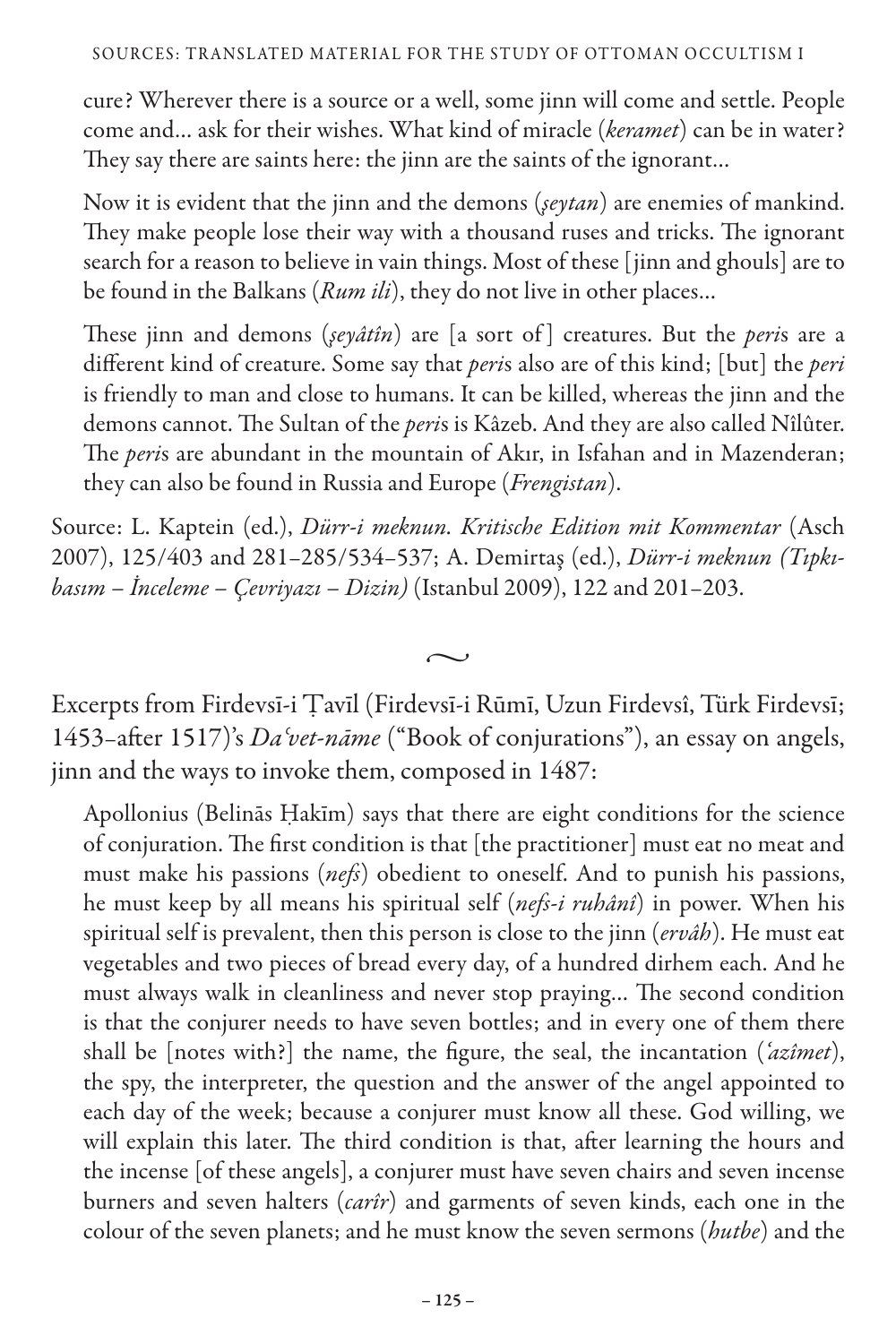cure? Wherever there is a source or a well, some jinn will come and settle. People come and… ask for their wishes. What kind of miracle (*keramet*) can be in water? They say there are saints here: the jinn are the saints of the ignorant…

Now it is evident that the jinn and the demons (*şeytan*) are enemies of mankind. They make people lose their way with a thousand ruses and tricks. The ignorant search for a reason to believe in vain things. Most of these [jinn and ghouls] are to be found in the Balkans (*Rum ili*), they do not live in other places…

These jinn and demons (*şeyâtîn*) are [a sort of ] creatures. But the *peri*s are a different kind of creature. Some say that *peri*s also are of this kind; [but] the *peri*  is friendly to man and close to humans. It can be killed, whereas the jinn and the demons cannot. The Sultan of the *peri*s is Kâzeb. And they are also called Nîlûter. The *peri*s are abundant in the mountain of Akır, in Isfahan and in Mazenderan; they can also be found in Russia and Europe (*Frengistan*).

Source: L. Kaptein (ed.), *Dürr-i meknun. Kritische Edition mit Kommentar* (Asch 2007), 125/403 and 281–285/534–537; A. Demirtaş (ed.), *Dürr-i meknun (Tıpkıbasım – İnceleme – Çevriyazı – Dizin)* (Istanbul 2009), 122 and 201–203.

Excerpts from Firdevsī-i Ṭavīl (Firdevsī-i Rūmī, Uzun Firdevsî, Türk Firdevsī; 1453–after 1517)'s *Daʿvet-nāme* ("Book of conjurations"), an essay on angels, jinn and the ways to invoke them, composed in 1487:

 $\sim$ 

Apollonius (Belinās Ḥakīm) says that there are eight conditions for the science of conjuration. The first condition is that [the practitioner] must eat no meat and must make his passions (*nefs*) obedient to oneself. And to punish his passions, he must keep by all means his spiritual self (*nefs-i ruhânî*) in power. When his spiritual self is prevalent, then this person is close to the jinn (*ervâh*). He must eat vegetables and two pieces of bread every day, of a hundred dirhem each. And he must always walk in cleanliness and never stop praying… The second condition is that the conjurer needs to have seven bottles; and in every one of them there shall be [notes with?] the name, the figure, the seal, the incantation (*'azîmet*), the spy, the interpreter, the question and the answer of the angel appointed to each day of the week; because a conjurer must know all these. God willing, we will explain this later. The third condition is that, after learning the hours and the incense [of these angels], a conjurer must have seven chairs and seven incense burners and seven halters (*carîr*) and garments of seven kinds, each one in the colour of the seven planets; and he must know the seven sermons (*hutbe*) and the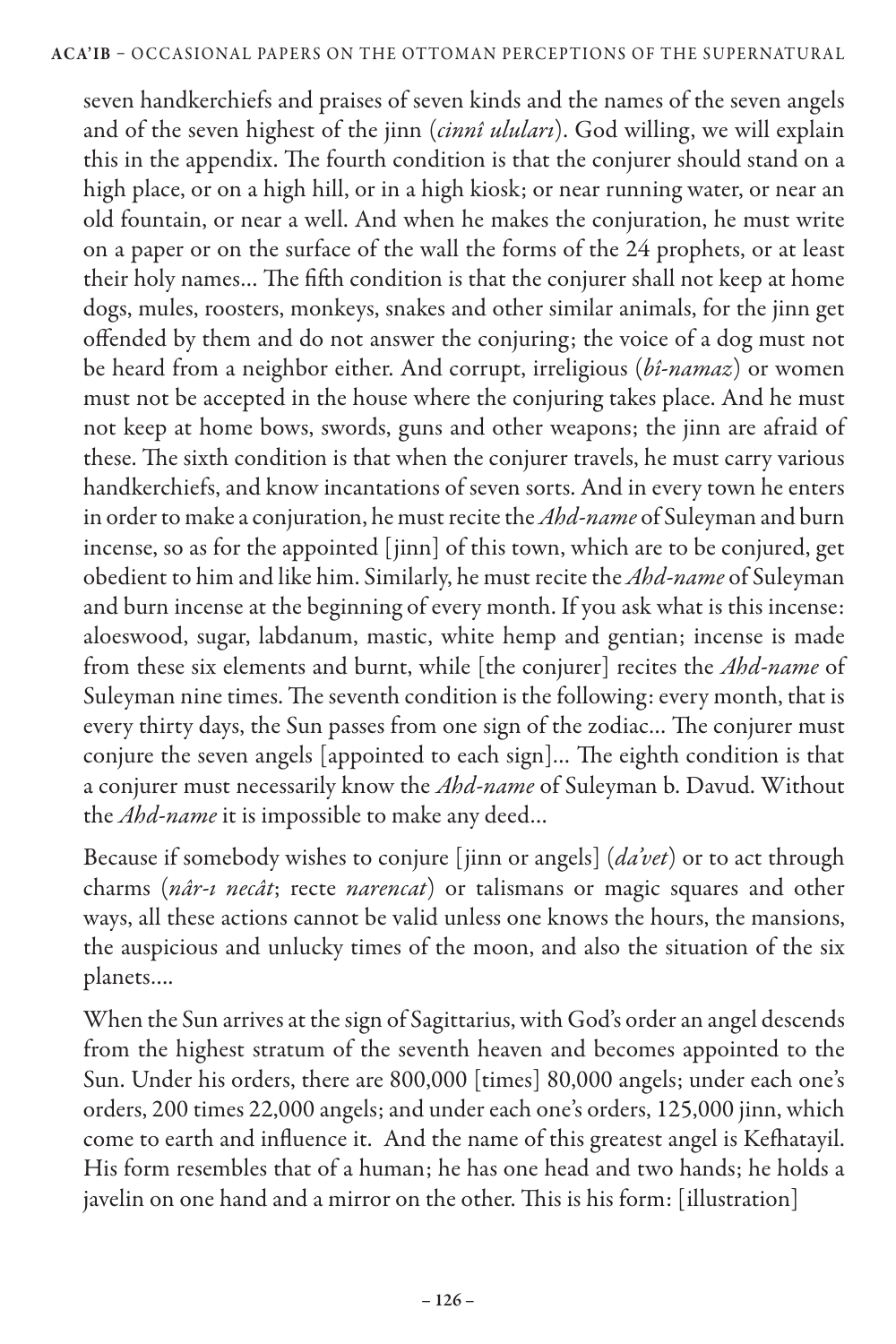seven handkerchiefs and praises of seven kinds and the names of the seven angels and of the seven highest of the jinn (*cinnî uluları*). God willing, we will explain this in the appendix. The fourth condition is that the conjurer should stand on a high place, or on a high hill, or in a high kiosk; or near running water, or near an old fountain, or near a well. And when he makes the conjuration, he must write on a paper or on the surface of the wall the forms of the 24 prophets, or at least their holy names… The fifth condition is that the conjurer shall not keep at home dogs, mules, roosters, monkeys, snakes and other similar animals, for the jinn get offended by them and do not answer the conjuring; the voice of a dog must not be heard from a neighbor either. And corrupt, irreligious (*bî-namaz*) or women must not be accepted in the house where the conjuring takes place. And he must not keep at home bows, swords, guns and other weapons; the jinn are afraid of these. The sixth condition is that when the conjurer travels, he must carry various handkerchiefs, and know incantations of seven sorts. And in every town he enters in order to make a conjuration, he must recite the *Ahd-name* of Suleyman and burn incense, so as for the appointed [jinn] of this town, which are to be conjured, get obedient to him and like him. Similarly, he must recite the *Ahd-name* of Suleyman and burn incense at the beginning of every month. If you ask what is this incense: aloeswood, sugar, labdanum, mastic, white hemp and gentian; incense is made from these six elements and burnt, while [the conjurer] recites the *Ahd-name* of Suleyman nine times. The seventh condition is the following: every month, that is every thirty days, the Sun passes from one sign of the zodiac… The conjurer must conjure the seven angels [appointed to each sign]… The eighth condition is that a conjurer must necessarily know the *Ahd-name* of Suleyman b. Davud. Without the *Ahd-name* it is impossible to make any deed…

Because if somebody wishes to conjure [jinn or angels] (*da'vet*) or to act through charms (*nâr-ı necât*; recte *narencat*) or talismans or magic squares and other ways, all these actions cannot be valid unless one knows the hours, the mansions, the auspicious and unlucky times of the moon, and also the situation of the six planets….

When the Sun arrives at the sign of Sagittarius, with God's order an angel descends from the highest stratum of the seventh heaven and becomes appointed to the Sun. Under his orders, there are 800,000 [times] 80,000 angels; under each one's orders, 200 times 22,000 angels; and under each one's orders, 125,000 jinn, which come to earth and influence it. And the name of this greatest angel is Kefhatayil. His form resembles that of a human; he has one head and two hands; he holds a javelin on one hand and a mirror on the other. This is his form: [illustration]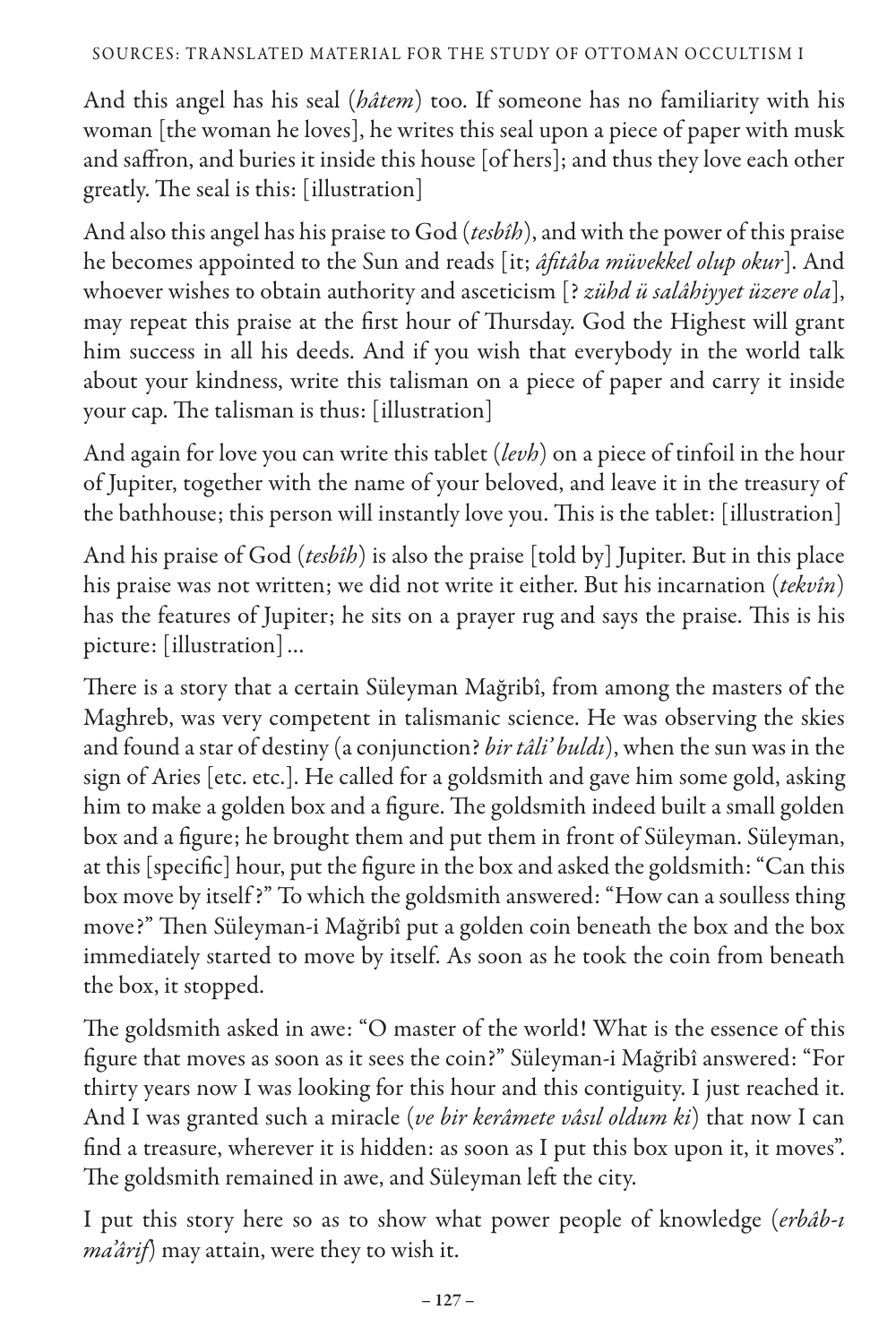## S OURCES: tra nsl ated material for the study of Ottoman occultism I

And this angel has his seal (*hâtem*) too. If someone has no familiarity with his woman [the woman he loves], he writes this seal upon a piece of paper with musk and saffron, and buries it inside this house [of hers]; and thus they love each other greatly. The seal is this: [illustration]

And also this angel has his praise to God (*tesbîh*), and with the power of this praise he becomes appointed to the Sun and reads [it; *âfitâba müvekkel olup okur*]. And whoever wishes to obtain authority and asceticism [? *zühd ü salâhiyyet üzere ola*], may repeat this praise at the first hour of Thursday. God the Highest will grant him success in all his deeds. And if you wish that everybody in the world talk about your kindness, write this talisman on a piece of paper and carry it inside your cap. The talisman is thus: [illustration]

And again for love you can write this tablet (*levh*) on a piece of tinfoil in the hour of Jupiter, together with the name of your beloved, and leave it in the treasury of the bathhouse; this person will instantly love you. This is the tablet: [illustration]

And his praise of God (*tesbîh*) is also the praise [told by] Jupiter. But in this place his praise was not written; we did not write it either. But his incarnation (*tekvîn*) has the features of Jupiter; he sits on a prayer rug and says the praise. This is his picture: [illustration]…

There is a story that a certain Süleyman Mağribî, from among the masters of the Maghreb, was very competent in talismanic science. He was observing the skies and found a star of destiny (a conjunction? *bir tâli' buldı*), when the sun was in the sign of Aries [etc. etc.]. He called for a goldsmith and gave him some gold, asking him to make a golden box and a figure. The goldsmith indeed built a small golden box and a figure; he brought them and put them in front of Süleyman. Süleyman, at this [specific] hour, put the figure in the box and asked the goldsmith: "Can this box move by itself ?" To which the goldsmith answered: "How can a soulless thing move?" Then Süleyman-i Mağribî put a golden coin beneath the box and the box immediately started to move by itself. As soon as he took the coin from beneath the box, it stopped.

The goldsmith asked in awe: "O master of the world! What is the essence of this figure that moves as soon as it sees the coin?" Süleyman-i Mağribî answered: "For thirty years now I was looking for this hour and this contiguity. I just reached it. And I was granted such a miracle (*ve bir kerâmete vâsıl oldum ki*) that now I can find a treasure, wherever it is hidden: as soon as I put this box upon it, it moves". The goldsmith remained in awe, and Süleyman left the city.

I put this story here so as to show what power people of knowledge (*erbâb-ı ma'ârif*) may attain, were they to wish it.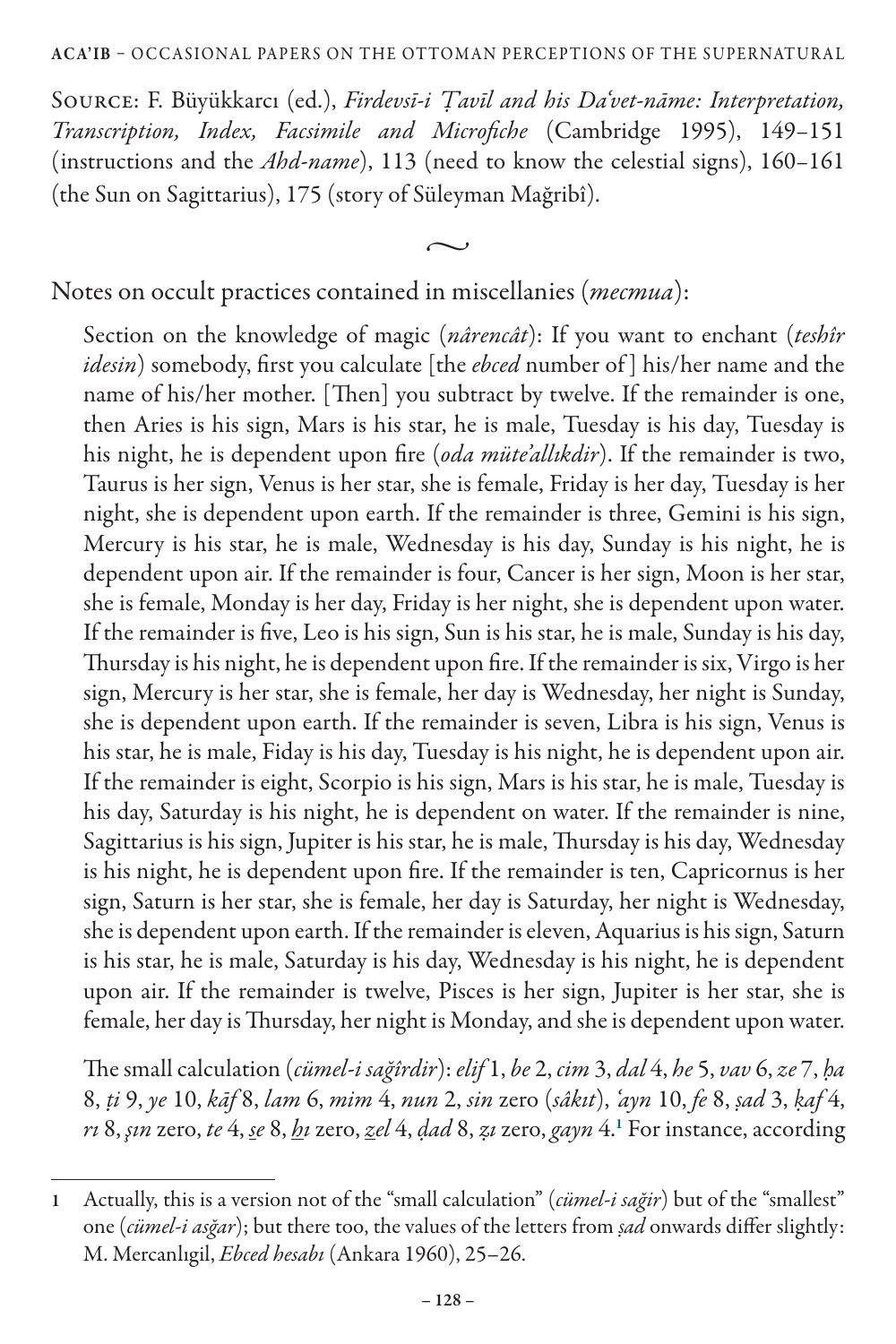Source: F. Büyükkarcı (ed.), *Firdevsī-i Ṭavīl and his Da'vet-nāme: Interpretation, Transcription, Index, Facsimile and Microfiche* (Cambridge 1995), 149–151 (instructions and the *Ahd-name*), 113 (need to know the celestial signs), 160–161 (the Sun on Sagittarius), 175 (story of Süleyman Mağribî).

 $\sim$ 

Notes on occult practices contained in miscellanies (*mecmua*):

Section on the knowledge of magic (*nârencât*): If you want to enchant (*teshîr idesin*) somebody, first you calculate [the *ebced* number of ] his/her name and the name of his/her mother. [Then] you subtract by twelve. If the remainder is one, then Aries is his sign, Mars is his star, he is male, Tuesday is his day, Tuesday is his night, he is dependent upon fire (*oda müte'allıkdir*). If the remainder is two, Taurus is her sign, Venus is her star, she is female, Friday is her day, Tuesday is her night, she is dependent upon earth. If the remainder is three, Gemini is his sign, Mercury is his star, he is male, Wednesday is his day, Sunday is his night, he is dependent upon air. If the remainder is four, Cancer is her sign, Moon is her star, she is female, Monday is her day, Friday is her night, she is dependent upon water. If the remainder is five, Leo is his sign, Sun is his star, he is male, Sunday is his day, Thursday is his night, he is dependent upon fire. If the remainder is six, Virgo is her sign, Mercury is her star, she is female, her day is Wednesday, her night is Sunday, she is dependent upon earth. If the remainder is seven, Libra is his sign, Venus is his star, he is male, Fiday is his day, Tuesday is his night, he is dependent upon air. If the remainder is eight, Scorpio is his sign, Mars is his star, he is male, Tuesday is his day, Saturday is his night, he is dependent on water. If the remainder is nine, Sagittarius is his sign, Jupiter is his star, he is male, Thursday is his day, Wednesday is his night, he is dependent upon fire. If the remainder is ten, Capricornus is her sign, Saturn is her star, she is female, her day is Saturday, her night is Wednesday, she is dependent upon earth. If the remainder is eleven, Aquarius is his sign, Saturn is his star, he is male, Saturday is his day, Wednesday is his night, he is dependent upon air. If the remainder is twelve, Pisces is her sign, Jupiter is her star, she is female, her day is Thursday, her night is Monday, and she is dependent upon water.

The small calculation (*cümel-i sağîrdir*): *elif* 1, *be* 2, *cim* 3, *dal* 4, *he* 5, *vav* 6, *ze* 7, *ḥa*  8, *ṭi* 9, *ye* 10, *kāf* 8, *lam* 6, *mim* 4, *nun* 2, *sin* zero (*sâkıt*), *'ayn* 10, *fe* 8, *ṣad* 3, *ḳaf* 4, *rı* 8, *şın* zero, *te* 4, *se* 8, *hı* zero, *zel* 4, *ḍad* 8, *ẓı* zero, *gayn* 4.<sup>1</sup> For instance, according

<sup>1</sup> Actually, this is a version not of the "small calculation" (*cümel-i sağir*) but of the "smallest" one (*cümel-i asğar*); but there too, the values of the letters from *ṣad* onwards differ slightly: M. Mercanlıgil, *Ebced hesabı* (Ankara 1960), 25–26.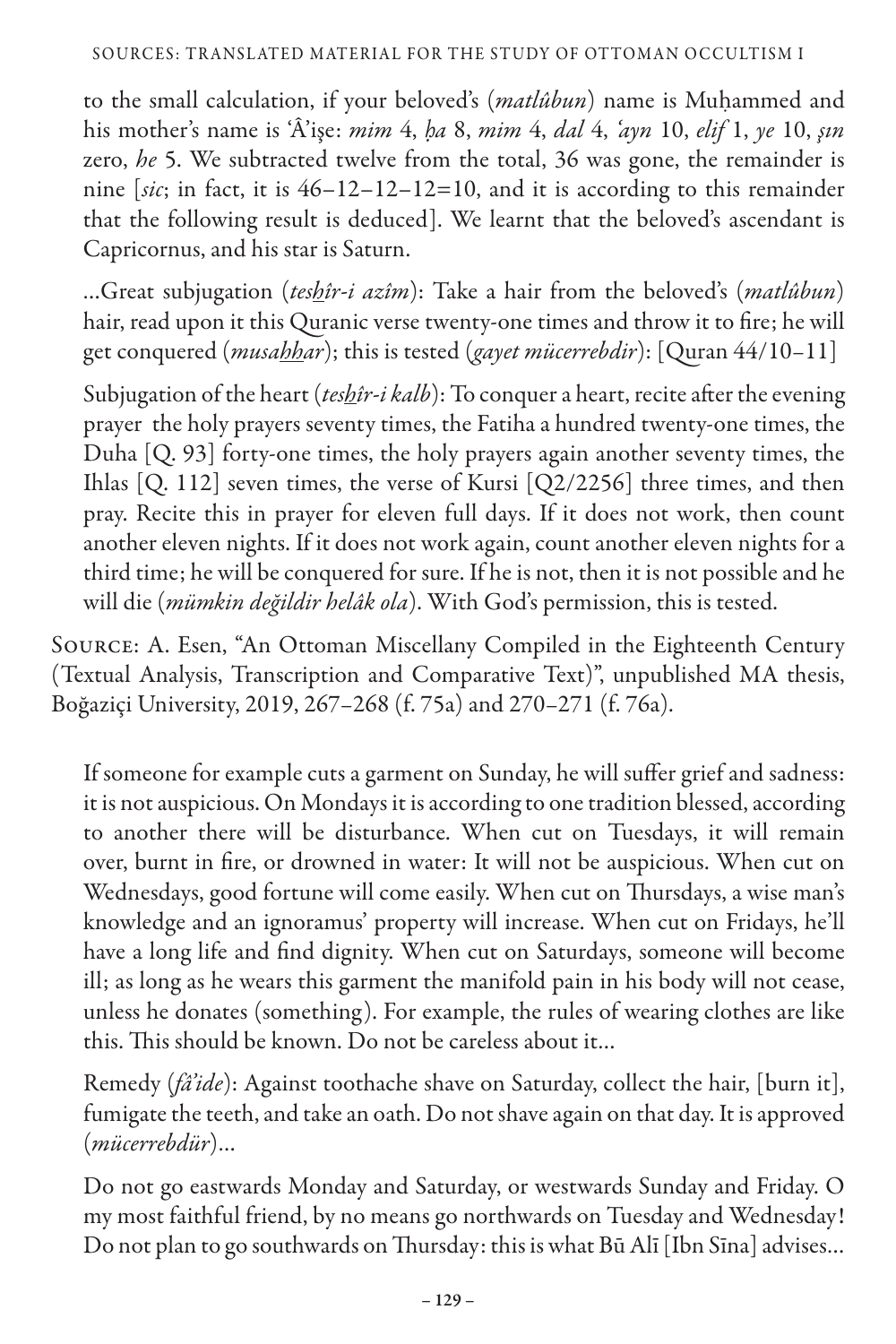## S OURCES: tra nsl ated material for the study of Ottoman occultism I

to the small calculation, if your beloved's (*matlûbun*) name is Muḥammed and his mother's name is 'Â'işe: *mim* 4, *ḥa* 8, *mim* 4, *dal* 4, *'ayn* 10, *elif* 1, *ye* 10, *şın*  zero, *he* 5. We subtracted twelve from the total, 36 was gone, the remainder is nine [*sic*; in fact, it is 46–12–12–12=10, and it is according to this remainder that the following result is deduced]. We learnt that the beloved's ascendant is Capricornus, and his star is Saturn.

…Great subjugation (*teshîr-i azîm*): Take a hair from the beloved's (*matlûbun*) hair, read upon it this Quranic verse twenty-one times and throw it to fire; he will get conquered (*musahhar*); this is tested (*gayet mücerrebdir*): [Quran 44/10–11]

Subjugation of the heart (*teshîr-i kalb*): To conquer a heart, recite after the evening prayer the holy prayers seventy times, the Fatiha a hundred twenty-one times, the Duha [Q. 93] forty-one times, the holy prayers again another seventy times, the Ihlas [Q. 112] seven times, the verse of Kursi [Q2/2256] three times, and then pray. Recite this in prayer for eleven full days. If it does not work, then count another eleven nights. If it does not work again, count another eleven nights for a third time; he will be conquered for sure. If he is not, then it is not possible and he will die (*mümkin değildir helâk ola*). With God's permission, this is tested.

Source: A. Esen, "An Ottoman Miscellany Compiled in the Eighteenth Century (Textual Analysis, Transcription and Comparative Text)", unpublished MA thesis, Boğaziçi University, 2019, 267–268 (f. 75a) and 270–271 (f. 76a).

If someone for example cuts a garment on Sunday, he will suffer grief and sadness: it is not auspicious. On Mondays it is according to one tradition blessed, according to another there will be disturbance. When cut on Tuesdays, it will remain over, burnt in fire, or drowned in water: It will not be auspicious. When cut on Wednesdays, good fortune will come easily. When cut on Thursdays, a wise man's knowledge and an ignoramus' property will increase. When cut on Fridays, he'll have a long life and find dignity. When cut on Saturdays, someone will become ill; as long as he wears this garment the manifold pain in his body will not cease, unless he donates (something). For example, the rules of wearing clothes are like this. This should be known. Do not be careless about it…

Remedy (*fâ'ide*): Against toothache shave on Saturday, collect the hair, [burn it], fumigate the teeth, and take an oath. Do not shave again on that day. It is approved (*mücerrebdür*)…

Do not go eastwards Monday and Saturday, or westwards Sunday and Friday. O my most faithful friend, by no means go northwards on Tuesday and Wednesday! Do not plan to go southwards on Thursday: this is what Bū Alī [Ibn Sīna] advises…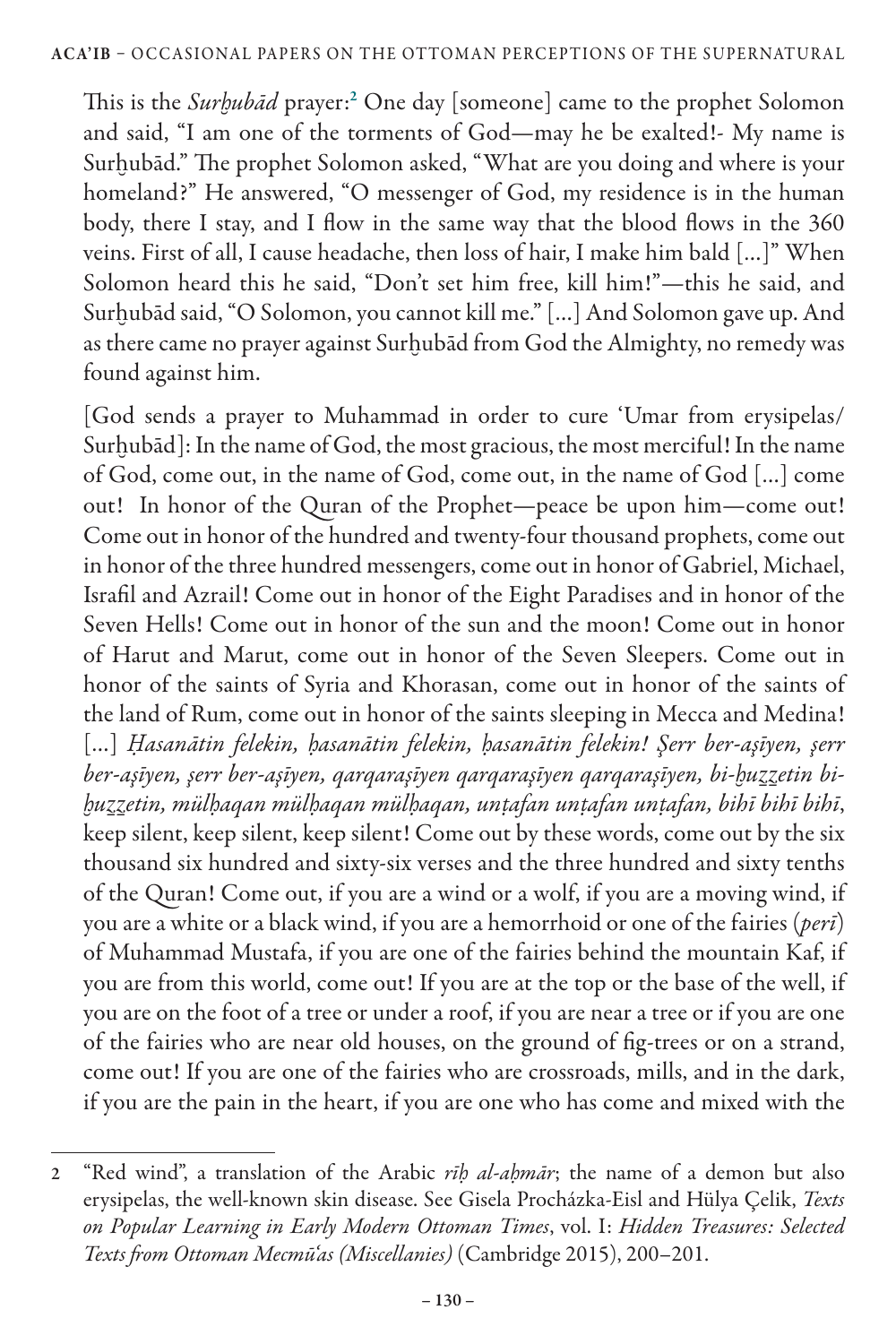This is the *Surḫubād* prayer:<sup>2</sup> One day [someone] came to the prophet Solomon and said, "I am one of the torments of God—may he be exalted!- My name is Surhubād." The prophet Solomon asked, "What are you doing and where is your homeland?" He answered, "O messenger of God, my residence is in the human body, there I stay, and I flow in the same way that the blood flows in the 360 veins. First of all, I cause headache, then loss of hair, I make him bald […]" When Solomon heard this he said, "Don't set him free, kill him!"—this he said, and Surhubād said, "O Solomon, you cannot kill me." [...] And Solomon gave up. And as there came no prayer against Surḫubād from God the Almighty, no remedy was found against him.

[God sends a prayer to Muhammad in order to cure 'Umar from erysipelas/ Surhubād]: In the name of God, the most gracious, the most merciful! In the name of God, come out, in the name of God, come out, in the name of God […] come out! In honor of the Quran of the Prophet—peace be upon him—come out! Come out in honor of the hundred and twenty-four thousand prophets, come out in honor of the three hundred messengers, come out in honor of Gabriel, Michael, Israfil and Azrail! Come out in honor of the Eight Paradises and in honor of the Seven Hells! Come out in honor of the sun and the moon! Come out in honor of Harut and Marut, come out in honor of the Seven Sleepers. Come out in honor of the saints of Syria and Khorasan, come out in honor of the saints of the land of Rum, come out in honor of the saints sleeping in Mecca and Medina! […] *Ḥasanātin felekin, ḥasanātin felekin, ḥasanātin felekin! Şerr ber-aşīyen, şerr ber-aşīyen, şerr ber-aşīyen, qarqaraşīyen qarqaraşīyen qarqaraşīyen, bi-ḫuẕẕetin biḫuẕẕetin, mülḥaqan mülḥaqan mülḥaqan, unṭafan unṭafan unṭafan, bihī bihī bihī*, keep silent, keep silent, keep silent! Come out by these words, come out by the six thousand six hundred and sixty-six verses and the three hundred and sixty tenths of the Quran! Come out, if you are a wind or a wolf, if you are a moving wind, if you are a white or a black wind, if you are a hemorrhoid or one of the fairies (*perī*) of Muhammad Mustafa, if you are one of the fairies behind the mountain Kaf, if you are from this world, come out! If you are at the top or the base of the well, if you are on the foot of a tree or under a roof, if you are near a tree or if you are one of the fairies who are near old houses, on the ground of fig-trees or on a strand, come out! If you are one of the fairies who are crossroads, mills, and in the dark, if you are the pain in the heart, if you are one who has come and mixed with the

<sup>2</sup> "Red wind", a translation of the Arabic *rīḥ al-aḥmār*; the name of a demon but also erysipelas, the well-known skin disease. See Gisela Procházka-Eisl and Hülya Çelik, *Texts on Popular Learning in Early Modern Ottoman Times*, vol. I: *Hidden Treasures: Selected Texts from Ottoman Mecmū'as (Miscellanies)* (Cambridge 2015), 200–201.